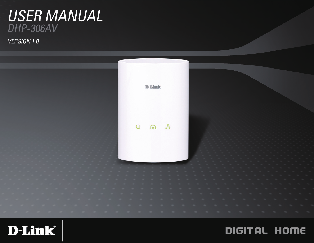### USER MANUAL DHP-306AV

**VERSION 1.0** 





### DIGITAL HOME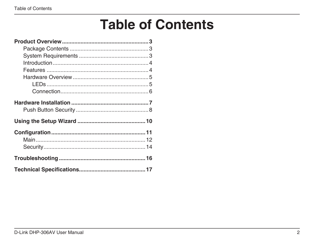# **Table of Contents**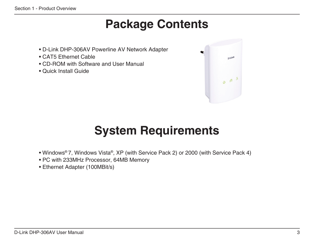### **Package Contents**

- <span id="page-2-0"></span>• D-Link DHP-306AV Powerline AV Network Adapter
- CAT5 Ethernet Cable
- CD-ROM with Software and User Manual
- Quick Install Guide



## **System Requirements**

- Windows® 7, Windows Vista®, XP (with Service Pack 2) or 2000 (with Service Pack 4)
- PC with 233MHz Processor, 64MB Memory
- Ethernet Adapter (100MBit/s)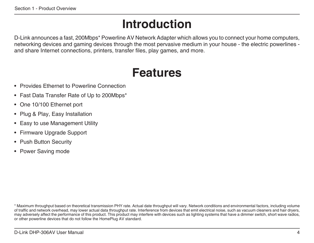# **Introduction**

<span id="page-3-0"></span>D-Link announces a fast, 200Mbps\* Powerline AV Network Adapter which allows you to connect your home computers, networking devices and gaming devices through the most pervasive medium in your house - the electric powerlines and share Internet connections, printers, transfer files, play games, and more.

### **Features**

- Provides Ethernet to Powerline Connection
- Fast Data Transfer Rate of Up to 200Mbps\*
- One 10/100 Ethernet port
- Plug & Play, Easy Installation
- Easy to use Management Utility
- Firmware Upgrade Support
- Push Button Security
- Power Saving mode

\* Maximum throughput based on theoretical transmission PHY rate. Actual date throughput will vary. Network conditions and environmental factors, including volume of traffic and network overhead, may lower actual data throughput rate. Interference from devices that emit electrical noise, such as vacuum cleaners and hair dryers, may adversely affect the performance of this product. This product may interfere with devices such as lighting systems that have a dimmer switch, short wave radios, or other powerline devices that do not follow the HomePlug AV standard.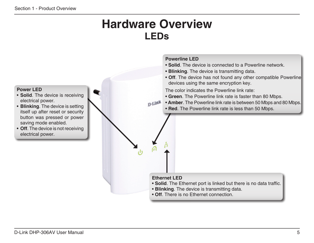### **Hardware Overview LEDs**

#### <span id="page-4-0"></span>**Powerline LED** • **Solid**. The device is connected to a Powerline network. • **Blinking**. The device is transmitting data. • **Off**. The device has not found any other compatible Powerline devices using the same encryption key. **Power LED** The color indicates the Powerline link rate: • **Solid**. The device is receiving • **Green**. The Powerline link rate is faster than 80 Mbps. electrical power. **D-Link** • **Amber**. The Powerline link rate is between 50 Mbps and 80 Mbps. • **Blinking**. The device is setting • **Red**. The Powerline link rate is less than 50 Mbps.itself up after reset or security button was pressed or power saving mode enabled. • **Off**. The device is not receiving electrical power. **Ethernet LED** • **Solid**. The Ethernet port is linked but there is no data traffic. • **Blinking**. The device is transmitting data. • **Off**. There is no Ethernet connection.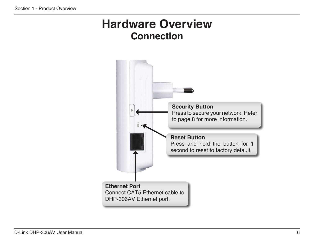### <span id="page-5-0"></span>**Hardware Overview Connection**

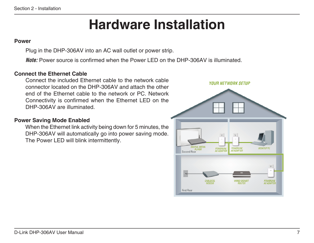# **Hardware Installation**

### <span id="page-6-0"></span>**Power**

Plug in the DHP-306AV into an AC wall outlet or power strip.

*Note:* Power source is confirmed when the Power LED on the DHP-306AV is illuminated.

### **Connect the Ethernet Cable**

Connect the included Ethernet cable to the network cable connector located on the DHP-306AV and attach the other end of the Ethernet cable to the network or PC. Network Connectivity is confirmed when the Ethernet LED on the DHP-306AV are illuminated.

### **Power Saving Mode Enabled**

When the Ethernet link activity being down for 5 minutes, the DHP-306AV will automatically go into power saving mode. The Power LED will blink intermittently.

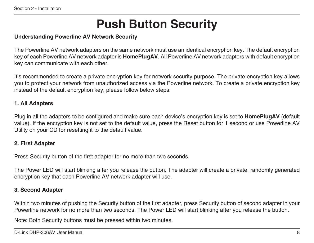# **Push Button Security**

### <span id="page-7-0"></span>**Understanding Powerline AV Network Security**

The Powerline AV network adapters on the same network must use an identical encryption key. The default encryption key of each Powerline AV network adapter is **HomePlugAV**. All Powerline AV network adapters with default encryption key can communicate with each other.

It's recommended to create a private encryption key for network security purpose. The private encryption key allows you to protect your network from unauthorized access via the Powerline network. To create a private encryption key instead of the default encryption key, please follow below steps:

### **1. All Adapters**

Plug in all the adapters to be configured and make sure each device's encryption key is set to **HomePlugAV** (default value). If the encryption key is not set to the default value, press the Reset button for 1 second or use Powerline AV Utility on your CD for resetting it to the default value.

### **2. First Adapter**

Press Security button of the first adapter for no more than two seconds.

The Power LED will start blinking after you release the button. The adapter will create a private, randomly generated encryption key that each Powerline AV network adapter will use.

### **3. Second Adapter**

Within two minutes of pushing the Security button of the first adapter, press Security button of second adapter in your Powerline network for no more than two seconds. The Power LED will start blinking after you release the button.

Note: Both Security buttons must be pressed within two minutes.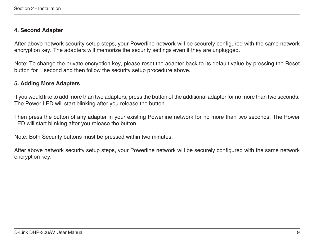### **4. Second Adapter**

After above network security setup steps, your Powerline network will be securely configured with the same network encryption key. The adapters will memorize the security settings even if they are unplugged.

Note: To change the private encryption key, please reset the adapter back to its default value by pressing the Reset button for 1 second and then follow the security setup procedure above.

### **5. Adding More Adapters**

If you would like to add more than two adapters, press the button of the additional adapter for no more than two seconds. The Power LED will start blinking after you release the button.

Then press the button of any adapter in your existing Powerline network for no more than two seconds. The Power LED will start blinking after you release the button.

Note: Both Security buttons must be pressed within two minutes.

After above network security setup steps, your Powerline network will be securely configured with the same network encryption key.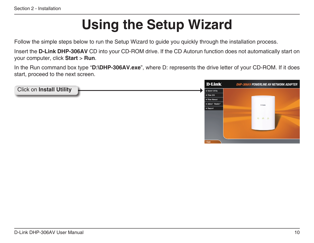# **Using the Setup Wizard**

<span id="page-9-0"></span>Follow the simple steps below to run the Setup Wizard to guide you quickly through the installation process.

Insert the **D-Link DHP-306AV** CD into your CD-ROM drive. If the CD Autorun function does not automatically start on your computer, click **Start** > **Run**.

In the Run command box type "**D:\DHP-306AV.exe**", where D: represents the drive letter of your CD-ROM. If it does start, proceed to the next screen.

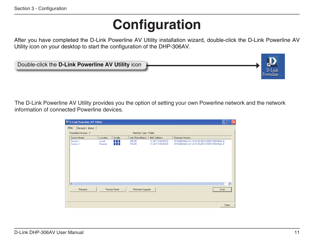# **Configuration**

<span id="page-10-0"></span>After you have completed the D-Link Powerline AV Utility installation wizard, double-click the D-Link Powerline AV Utility icon on your desktop to start the configuration of the DHP-306AV.



The D-Link Powerline AV Utility provides you the option of setting your own Powerline network and the network information of connected Powerline devices.

| D D-Link Powerline AV Utility               |                                              |                                            |                                        |                                                                                                |       |
|---------------------------------------------|----------------------------------------------|--------------------------------------------|----------------------------------------|------------------------------------------------------------------------------------------------|-------|
| Main<br>Security   About                    |                                              |                                            |                                        |                                                                                                |       |
| Powerline Devices: 2                        |                                              | Network Type : Public                      |                                        |                                                                                                |       |
| Device Name                                 | Quality<br>Location                          | Link Rate (Mbps)                           | <b>MAC Address</b>                     | Firmware Version                                                                               |       |
| Device 1<br>Device 2                        | <b>TELEVISION</b><br>Local<br>Remote<br>N FT | 200.00<br>196.00                           | 10:AF:F7:68:40:DC<br>1C:AF:F7:68:40:EB | INT6400-MAC-4-1-4122-00-4019-20091209-FINAL-B<br>INT6400-MAC-4-1-4122-00-4019-20091209-FINAL-B |       |
| $\overline{\left( \cdot \right)}$<br>Rename | Factory Reset                                | $\mathop{\mathrm{HH}}$<br>Firmware Upgrade |                                        | Scan                                                                                           | $\,$  |
|                                             |                                              |                                            |                                        |                                                                                                | Close |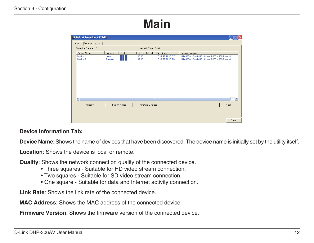## **Main**

<span id="page-11-0"></span>

| D D-Link Powerline AV Utility |                                                |                       |                                        |                                                                                                |  |
|-------------------------------|------------------------------------------------|-----------------------|----------------------------------------|------------------------------------------------------------------------------------------------|--|
| Main<br>Security   About      |                                                |                       |                                        |                                                                                                |  |
| Powerline Devices: 2          |                                                | Network Type : Public |                                        |                                                                                                |  |
| Device Name                   | Location<br>Quality                            | Link Rate (Mbps)      | <b>MAC Address</b>                     | Firmware Version                                                                               |  |
| Device 1<br>Device 2          | n di K<br>Local<br>Remote<br><b>TELEVISION</b> | 200.00<br>196.00      | 10:AF:F7:68:40:DC<br>1C:AF:F7:68:40:EB | INT6400-MAC-4-1-4122-00-4019-20091209-FINAL-B<br>INT6400-MAC-4-1-4122-00-4019-20091209-FINAL-B |  |
| ₹<br>Factory Reset<br>Rename  |                                                | Firmware Upgrade      | $\rm III$                              | $\rightarrow$<br>Scan<br>Close                                                                 |  |

### **Device Information Tab:**

**Device Name**: Shows the name of devices that have been discovered. The device name is initially set by the utility itself.

**Location**: Shows the device is local or remote.

**Quality**: Shows the network connection quality of the connected device.

- Three squares Suitable for HD video stream connection.
- Two squares Suitable for SD video stream connection.
- One square Suitable for data and Internet activity connection.

**Link Rate**: Shows the link rate of the connected device.

**MAC Address**: Shows the MAC address of the connected device.

**Firmware Version**: Shows the firmware version of the connected device.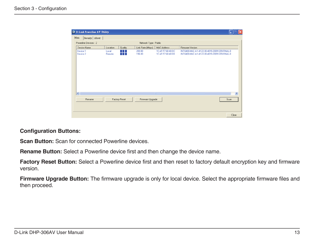

#### **Configuration Buttons:**

**Scan Button:** Scan for connected Powerline devices.

**Rename Button:** Select a Powerline device first and then change the device name.

**Factory Reset Button:** Select a Powerline device first and then reset to factory default encryption key and firmware version.

**Firmware Upgrade Button:** The firmware upgrade is only for local device. Select the appropriate firmware files and then proceed.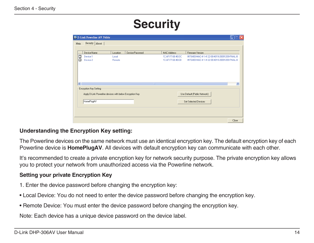## **Security**

<span id="page-13-0"></span>

| D D-Link Powerline AV Utility |                                                                                           |                        |          |                                  |                    |                                               |
|-------------------------------|-------------------------------------------------------------------------------------------|------------------------|----------|----------------------------------|--------------------|-----------------------------------------------|
| Security About<br>Main        |                                                                                           |                        |          |                                  |                    |                                               |
|                               |                                                                                           |                        |          |                                  |                    |                                               |
|                               |                                                                                           | Device Name            | Location | Device Password                  | <b>MAC Address</b> | Firmware Version                              |
|                               | □                                                                                         | Device 1               | Local    |                                  | 10:AF:F7:68:40:DC  | INT6400-MAC-4-1-4122-00-4019-20091209-FINAL-B |
|                               | п                                                                                         | Device 2               | Remote   |                                  | 1C:AF:F7:68:40:EB  | INT6400-MAC-4-1-4122-00-4019-20091209-FINAL-B |
|                               |                                                                                           |                        |          |                                  |                    |                                               |
|                               |                                                                                           |                        |          |                                  |                    |                                               |
|                               |                                                                                           |                        |          |                                  |                    |                                               |
|                               |                                                                                           |                        |          |                                  |                    |                                               |
|                               |                                                                                           |                        |          |                                  |                    |                                               |
|                               | $\overline{\left( \cdot \right)}$                                                         |                        |          | $\mathop{\mathrm{III}}\nolimits$ |                    | $\,$                                          |
|                               |                                                                                           | Encryption Key Setting |          |                                  |                    |                                               |
|                               | Use Default (Public Network)<br>Apply D-Link Powerline devices with below Encryption Key- |                        |          |                                  |                    |                                               |
|                               |                                                                                           |                        |          |                                  |                    |                                               |
|                               | HomePlugAV<br>Set Selected Devices                                                        |                        |          |                                  |                    |                                               |
|                               |                                                                                           |                        |          |                                  |                    |                                               |
|                               |                                                                                           |                        |          |                                  |                    |                                               |
|                               |                                                                                           |                        |          |                                  |                    |                                               |
|                               |                                                                                           |                        |          |                                  |                    |                                               |
|                               |                                                                                           |                        |          |                                  |                    | Close                                         |

### **Understanding the Encryption Key setting:**

The Powerline devices on the same network must use an identical encryption key. The default encryption key of each Powerline device is **HomePlugAV**. All devices with default encryption key can communicate with each other.

It's recommended to create a private encryption key for network security purpose. The private encryption key allows you to protect your network from unauthorized access via the Powerline network.

### **Setting your private Encryption Key**

- 1. Enter the device password before changing the encryption key:
- Local Device: You do not need to enter the device password before changing the encryption key.
- Remote Device: You must enter the device password before changing the encryption key.

Note: Each device has a unique device password on the device label.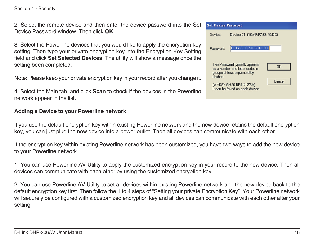Section 4 - Security

2. Select the remote device and then enter the device password into the Set Device Password window. Then click **OK**.

3. Select the Powerline devices that you would like to apply the encryption key setting. Then type your private encryption key into the Encryption Key Setting field and click **Set Selected Devices**. The utility will show a message once the setting been completed.

Note: Please keep your private encryption key in your record after you change it.

4. Select the Main tab, and click **Scan** to check if the devices in the Powerline network appear in the list.

### **Adding a Device to your Powerline network**



If you use the default encryption key within existing Powerline network and the new device retains the default encryption key, you can just plug the new device into a power outlet. Then all devices can communicate with each other.

If the encryption key within existing Powerline network has been customized, you have two ways to add the new device to your Powerline network.

1. You can use Powerline AV Utility to apply the customized encryption key in your record to the new device. Then all devices can communicate with each other by using the customized encryption key.

2. You can use Powerline AV Utility to set all devices within existing Powerline network and the new device back to the default encryption key first. Then follow the 1 to 4 steps of "Setting your private Encryption Key". Your Powerline network will securely be configured with a customized encryption key and all devices can communicate with each other after your setting.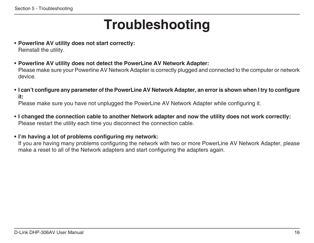# **Troubleshooting**

- <span id="page-15-0"></span>• **Powerline AV utility does not start correctly:** Reinstall the utility.
- **Powerline AV utility does not detect the PowerLine AV Network Adapter:**

Please make sure your Powerline AV Network Adapter is correctly plugged and connected to the computer or network device.

• **I can't configure any parameter of the PowerLine AV Network Adapter, an error is shown when I try to configure it:**

Please make sure you have not unplugged the PowerLine AV Network Adapter while configuring it.

• **I changed the connection cable to another Network adapter and now the utility does not work correctly:** Please restart the utility each time you disconnect the connection cable.

### **• I'm having a lot of problems configuring my network:**

If you are having many problems configuring the network with two or more PowerLine AV Network Adapter, please make a reset to all of the Network adapters and start configuring the adapters again.